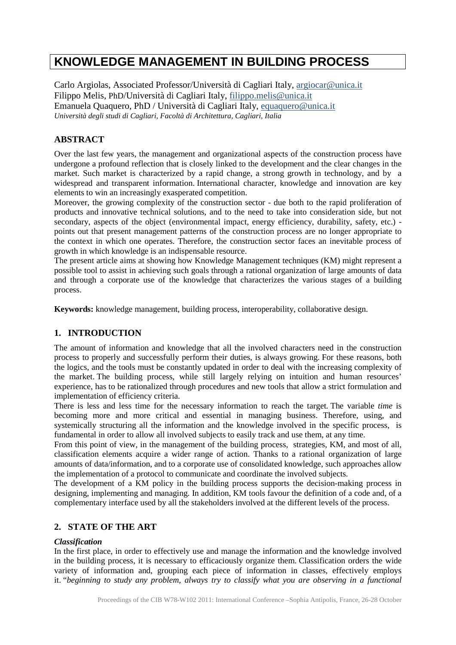# **KNOWLEDGE MANAGEMENT IN BUILDING PROCESS**

Carlo Argiolas, Associated Professor/Università di Cagliari Italy, [argiocar@unica.it](mailto:argiocar@unica.it) Filippo Melis, PhD/Università di Cagliari Italy, filippo.melis@unica.it Emanuela Quaquero, PhD / Università di Cagliari Italy, [equaquero@unica.it](mailto:equaquero@unica.it) *Università degli studi di Cagliari, Facoltà di Architettura, Cagliari, Italia*

# **ABSTRACT**

Over the last few years, the management and organizational aspects of the construction process have undergone a profound reflection that is closely linked to the development and the clear changes in the market. Such market is characterized by a rapid change, a strong growth in technology, and by a widespread and transparent information. International character, knowledge and innovation are key elements to win an increasingly exasperated competition.

Moreover, the growing complexity of the construction sector - due both to the rapid proliferation of products and innovative technical solutions, and to the need to take into consideration side, but not secondary, aspects of the object (environmental impact, energy efficiency, durability, safety, etc.) points out that present management patterns of the construction process are no longer appropriate to the context in which one operates. Therefore, the construction sector faces an inevitable process of growth in which knowledge is an indispensable resource.

The present article aims at showing how Knowledge Management techniques (KM) might represent a possible tool to assist in achieving such goals through a rational organization of large amounts of data and through a corporate use of the knowledge that characterizes the various stages of a building process.

**Keywords:** knowledge management, building process, interoperability, collaborative design.

## **1. INTRODUCTION**

The amount of information and knowledge that all the involved characters need in the construction process to properly and successfully perform their duties, is always growing. For these reasons, both the logics, and the tools must be constantly updated in order to deal with the increasing complexity of the market. The building process, while still largely relying on intuition and human resources' experience, has to be rationalized through procedures and new tools that allow a strict formulation and implementation of efficiency criteria.

There is less and less time for the necessary information to reach the target. The variable *time* is becoming more and more critical and essential in managing business. Therefore, using, and systemically structuring all the information and the knowledge involved in the specific process, is fundamental in order to allow all involved subjects to easily track and use them, at any time.

From this point of view, in the management of the building process, strategies, KM, and most of all, classification elements acquire a wider range of action. Thanks to a rational organization of large amounts of data/information, and to a corporate use of consolidated knowledge, such approaches allow the implementation of a protocol to communicate and coordinate the involved subjects.

The development of a KM policy in the building process supports the decision-making process in designing, implementing and managing. In addition, KM tools favour the definition of a code and, of a complementary interface used by all the stakeholders involved at the different levels of the process.

## **2. STATE OF THE ART**

## *Classification*

In the first place, in order to effectively use and manage the information and the knowledge involved in the building process, it is necessary to efficaciously organize them. Classification orders the wide variety of information and, grouping each piece of information in classes, effectively employs it. "*beginning to study any problem, always try to classify what you are observing in a functional*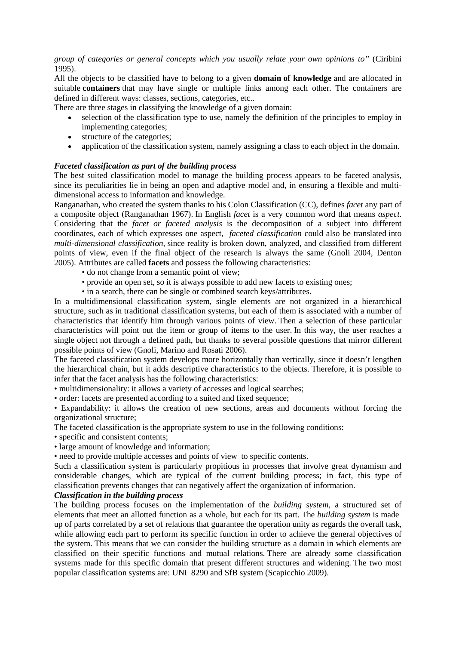*group of categories or general concepts which you usually relate your own opinions to"* (Ciribini 1995).

All the objects to be classified have to belong to a given **domain of knowledge** and are allocated in suitable **containers** that may have single or multiple links among each other. The containers are defined in different ways: classes, sections, categories, etc..

There are three stages in classifying the knowledge of a given domain:

- selection of the classification type to use, namely the definition of the principles to employ in implementing categories;
- structure of the categories;
- application of the classification system, namely assigning a class to each object in the domain.

#### *Faceted classification as part of the building process*

The best suited classification model to manage the building process appears to be faceted analysis, since its peculiarities lie in being an open and adaptive model and, in ensuring a flexible and multidimensional access to information and knowledge.

Ranganathan, who created the system thanks to his Colon Classification (CC), defines *facet* any part of a composite object (Ranganathan 1967). In English *facet* is a very common word that means *aspect*. Considering that the *facet or faceted analysis* is the decomposition of a subject into different coordinates, each of which expresses one aspect, *faceted classification* could also be translated into *multi-dimensional classification,* since reality is broken down, analyzed, and classified from different points of view, even if the final object of the research is always the same (Gnoli 2004, Denton 2005). Attributes are called **facets** and possess the following characteristics:

- do not change from a semantic point of view;
- provide an open set, so it is always possible to add new facets to existing ones;
- in a search, there can be single or combined search keys/attributes.

In a multidimensional classification system, single elements are not organized in a hierarchical structure, such as in traditional classification systems, but each of them is associated with a number of characteristics that identify him through various points of view. Then a selection of these particular characteristics will point out the item or group of items to the user. In this way, the user reaches a single object not through a defined path, but thanks to several possible questions that mirror different possible points of view (Gnoli, Marino and Rosati 2006).

The faceted classification system develops more horizontally than vertically, since it doesn't lengthen the hierarchical chain, but it adds descriptive characteristics to the objects. Therefore, it is possible to infer that the facet analysis has the following characteristics:

• multidimensionality: it allows a variety of accesses and logical searches;

• order: facets are presented according to a suited and fixed sequence;

• Expandability: it allows the creation of new sections, areas and documents without forcing the organizational structure;

The faceted classification is the appropriate system to use in the following conditions:

• specific and consistent contents;

• large amount of knowledge and information;

• need to provide multiple accesses and points of view to specific contents.

Such a classification system is particularly propitious in processes that involve great dynamism and considerable changes, which are typical of the current building process; in fact, this type of classification prevents changes that can negatively affect the organization of information.

#### *Classification in the building process*

The building process focuses on the implementation of the *building system*, a structured set of elements that meet an allotted function as a whole, but each for its part. The *building system* is made up of parts correlated by a set of relations that guarantee the operation unity as regards the overall task, while allowing each part to perform its specific function in order to achieve the general objectives of the system. This means that we can consider the building structure as a domain in which elements are classified on their specific functions and mutual relations. There are already some classification systems made for this specific domain that present different structures and widening. The two most popular classification systems are: UNI 8290 and SfB system (Scapicchio 2009).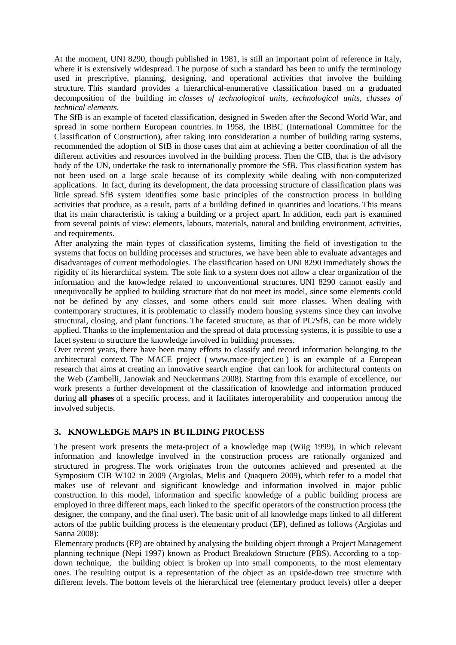At the moment, UNI 8290, though published in 1981, is still an important point of reference in Italy, where it is extensively widespread. The purpose of such a standard has been to unify the terminology used in prescriptive, planning, designing, and operational activities that involve the building structure. This standard provides a hierarchical-enumerative classification based on a graduated decomposition of the building in: *classes of technological units, technological units, classes of technical elements.*

The SfB is an example of faceted classification, designed in Sweden after the Second World War, and spread in some northern European countries. In 1958, the IBBC (International Committee for the Classification of Construction), after taking into consideration a number of building rating systems, recommended the adoption of SfB in those cases that aim at achieving a better coordination of all the different activities and resources involved in the building process. Then the CIB, that is the advisory body of the UN, undertake the task to internationally promote the SfB. This classification system has not been used on a large scale because of its complexity while dealing with non-computerized applications. In fact, during its development, the data processing structure of classification plans was little spread. SfB system identifies some basic principles of the construction process in building activities that produce, as a result, parts of a building defined in quantities and locations. This means that its main characteristic is taking a building or a project apart. In addition, each part is examined from several points of view: elements, labours, materials, natural and building environment, activities, and requirements.

After analyzing the main types of classification systems, limiting the field of investigation to the systems that focus on building processes and structures, we have been able to evaluate advantages and disadvantages of current methodologies. The classification based on UNI 8290 immediately shows the rigidity of its hierarchical system. The sole link to a system does not allow a clear organization of the information and the knowledge related to unconventional structures. UNI 8290 cannot easily and unequivocally be applied to building structure that do not meet its model, since some elements could not be defined by any classes, and some others could suit more classes. When dealing with contemporary structures, it is problematic to classify modern housing systems since they can involve structural, closing, and plant functions. The faceted structure, as that of PC/SfB, can be more widely applied. Thanks to the implementation and the spread of data processing systems, it is possible to use a facet system to structure the knowledge involved in building processes.

Over recent years, there have been many efforts to classify and record information belonging to the architectural context. The MACE project ( [www.mace-project.eu](http://www.mace-project.eu/) ) is an example of a European research that aims at creating an innovative search engine that can look for architectural contents on the Web (Zambelli, Janowiak and Neuckermans 2008). Starting from this example of excellence, our work presents a further development of the classification of knowledge and information produced during **all phases** of a specific process, and it facilitates interoperability and cooperation among the involved subjects.

## **3. KNOWLEDGE MAPS IN BUILDING PROCESS**

The present work presents the meta-project of a knowledge map (Wiig 1999), in which relevant information and knowledge involved in the construction process are rationally organized and structured in progress. The work originates from the outcomes achieved and presented at the Symposium CIB W102 in 2009 (Argiolas, Melis and Quaquero 2009), which refer to a model that makes use of relevant and significant knowledge and information involved in major public construction. In this model, information and specific knowledge of a public building process are employed in three different maps, each linked to the specific operators of the construction process (the designer, the company, and the final user). The basic unit of all knowledge maps linked to all different actors of the public building process is the elementary product (EP), defined as follows (Argiolas and Sanna 2008):

Elementary products (EP) are obtained by analysing the building object through a Project Management planning technique (Nepi 1997) known as Product Breakdown Structure (PBS). According to a topdown technique, the building object is broken up into small components, to the most elementary ones. The resulting output is a representation of the object as an upside-down tree structure with different levels. The bottom levels of the hierarchical tree (elementary product levels) offer a deeper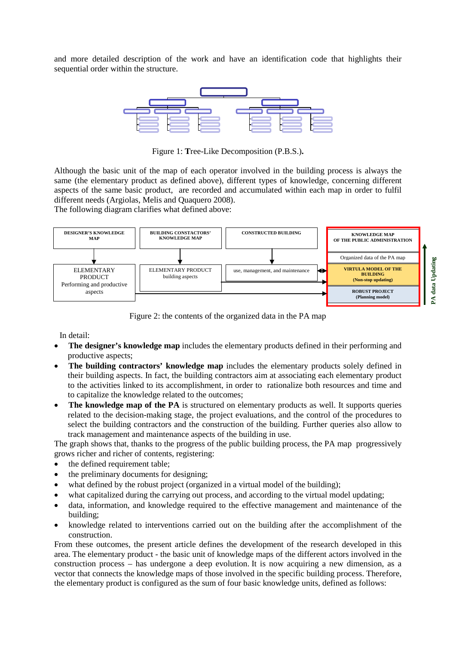and more detailed description of the work and have an identification code that highlights their sequential order within the structure.



Figure 1: **T**ree-Like Decomposition (P.B.S.)**.**

Although the basic unit of the map of each operator involved in the building process is always the same (the elementary product as defined above), different types of knowledge, concerning different aspects of the same basic product, are recorded and accumulated within each map in order to fulfil different needs (Argiolas, Melis and Quaquero 2008).

The following diagram clarifies what defined above:



Figure 2: the contents of the organized data in the PA map

In detail:

- **The designer's knowledge map** includes the elementary products defined in their performing and productive aspects;
- **The building contractors' knowledge map** includes the elementary products solely defined in their building aspects. In fact, the building contractors aim at associating each elementary product to the activities linked to its accomplishment, in order to rationalize both resources and time and to capitalize the knowledge related to the outcomes;
- **The knowledge map of the PA** is structured on elementary products as well. It supports queries related to the decision-making stage, the project evaluations, and the control of the procedures to select the building contractors and the construction of the building. Further queries also allow to track management and maintenance aspects of the building in use.

The graph shows that, thanks to the progress of the public building process, the PA map progressively grows richer and richer of contents, registering:

- the defined requirement table;
- the preliminary documents for designing:
- what defined by the robust project (organized in a virtual model of the building);
- what capitalized during the carrying out process, and according to the virtual model updating;
- data, information, and knowledge required to the effective management and maintenance of the building;
- knowledge related to interventions carried out on the building after the accomplishment of the construction.

From these outcomes, the present article defines the development of the research developed in this area. The elementary product - the basic unit of knowledge maps of the different actors involved in the construction process – has undergone a deep evolution. It is now acquiring a new dimension, as a vector that connects the knowledge maps of those involved in the specific building process. Therefore, the elementary product is configured as the sum of four basic knowledge units, defined as follows: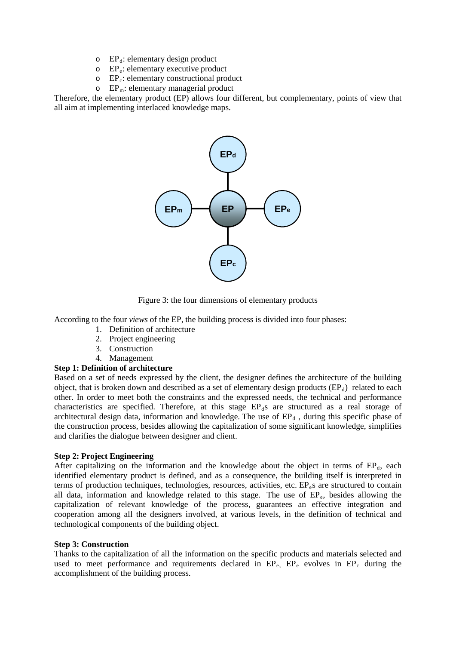- $\circ$  EP<sub>d</sub>: elementary design product
- $\circ$  EP<sub>e</sub>: elementary executive product
- o EPc: elementary constructional product
- $\circ$  EP<sub>m</sub>: elementary managerial product

Therefore, the elementary product (EP) allows four different, but complementary, points of view that all aim at implementing interlaced knowledge maps.



Figure 3: the four dimensions of elementary products

According to the four *views* of the EP, the building process is divided into four phases:

- 1. Definition of architecture
- 2. Project engineering
- 3. Construction
- 4. Management

## **Step 1: Definition of architecture**

Based on a set of needs expressed by the client, the designer defines the architecture of the building object, that is broken down and described as a set of elementary design products  $(EP<sub>d</sub>)$  related to each other. In order to meet both the constraints and the expressed needs, the technical and performance characteristics are specified. Therefore, at this stage  $EP<sub>d</sub>$ s are structured as a real storage of architectural design data, information and knowledge. The use of  $EP<sub>d</sub>$ , during this specific phase of the construction process, besides allowing the capitalization of some significant knowledge, simplifies and clarifies the dialogue between designer and client.

## **Step 2: Project Engineering**

After capitalizing on the information and the knowledge about the object in terms of  $EP<sub>d</sub>$ , each identified elementary product is defined, and as a consequence, the building itself is interpreted in terms of production techniques, technologies, resources, activities, etc.  $EP_e$ s are structured to contain all data, information and knowledge related to this stage. The use of EP<sub>e</sub>, besides allowing the capitalization of relevant knowledge of the process, guarantees an effective integration and cooperation among all the designers involved, at various levels, in the definition of technical and technological components of the building object.

#### **Step 3: Construction**

Thanks to the capitalization of all the information on the specific products and materials selected and used to meet performance and requirements declared in  $EP_{e}$ ,  $EP_{e}$  evolves in  $EP_{c}$  during the accomplishment of the building process.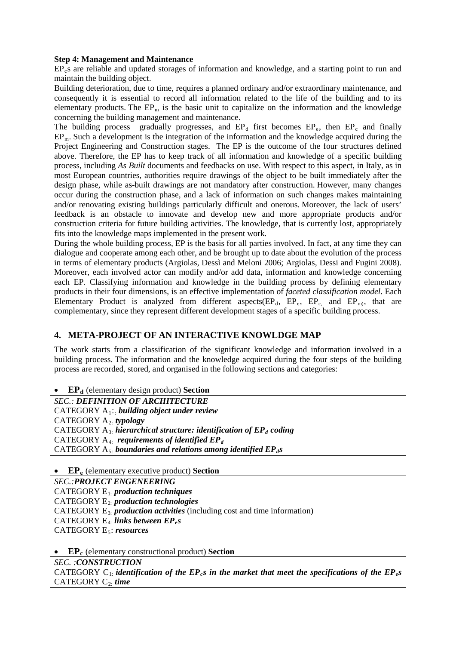#### **Step 4: Management and Maintenance**

EP<sub>c</sub>s are reliable and updated storages of information and knowledge, and a starting point to run and maintain the building object.

Building deterioration, due to time, requires a planned ordinary and/or extraordinary maintenance, and consequently it is essential to record all information related to the life of the building and to its elementary products. The  $EP_m$  is the basic unit to capitalize on the information and the knowledge concerning the building management and maintenance.

The building process gradually progresses, and  $EP_d$  first becomes  $EP_e$ , then  $EP_c$  and finally  $EP_m$ . Such a development is the integration of the information and the knowledge acquired during the Project Engineering and Construction stages. The EP is the outcome of the four structures defined above. Therefore, the EP has to keep track of all information and knowledge of a specific building process, including *As Built* documents and feedbacks on use. With respect to this aspect, in Italy, as in most European countries, authorities require drawings of the object to be built immediately after the design phase, while as-built drawings are not mandatory after construction. However, many changes occur during the construction phase, and a lack of information on such changes makes maintaining and/or renovating existing buildings particularly difficult and onerous. Moreover, the lack of users' feedback is an obstacle to innovate and develop new and more appropriate products and/or construction criteria for future building activities. The knowledge, that is currently lost, appropriately fits into the knowledge maps implemented in the present work.

During the whole building process, EP is the basis for all parties involved. In fact, at any time they can dialogue and cooperate among each other, and be brought up to date about the evolution of the process in terms of elementary products (Argiolas, Dessì and Meloni 2006; Argiolas, Dessi and Fugini 2008). Moreover, each involved actor can modify and/or add data, information and knowledge concerning each EP. Classifying information and knowledge in the building process by defining elementary products in their four dimensions, is an effective implementation of *faceted classification model*. Each Elementary Product is analyzed from different aspects  $(EP_d, EP_e, EP_e, and EP_m)$ , that are complementary, since they represent different development stages of a specific building process.

# **4. META-PROJECT OF AN INTERACTIVE KNOWLDGE MAP**

The work starts from a classification of the significant knowledge and information involved in a building process. The information and the knowledge acquired during the four steps of the building process are recorded, stored, and organised in the following sections and categories:

• **EP**<sup>d</sup> (elementary design product) **Section** 

*SEC.: DEFINITION OF ARCHITECTURE* CATEGORY A1:: *building object under review* CATEGORY A2: *typology* CATEGORY  $A_{3}$  *hierarchical structure: identification of*  $\mathbf{EP}_d$  *coding* CATEGORY A4: *requirements of identified EPd* CATEGORY A<sub>5</sub>: *boundaries and relations among identified EP<sub>dS</sub>* 

• **EPe** (elementary executive product) **Section**

*SEC.:PROJECT ENGENEERING* CATEGORY E1: *production techniques* CATEGORY E2: *production technologies* CATEGORY E3: *production activities* (including cost and time information) CATEGORY E<sub>4</sub>. *links between EP<sub>e</sub>s* CATEGORY E5: *resources*

• **EP<sub>c</sub>** (elementary constructional product) **Section** 

*SEC. :CONSTRUCTION* CATEGORY  $C_1$  *identification of the EP<sub>c</sub>s in the market that meet the specifications of the EP<sub>c</sub>s* CATEGORY C2: *time*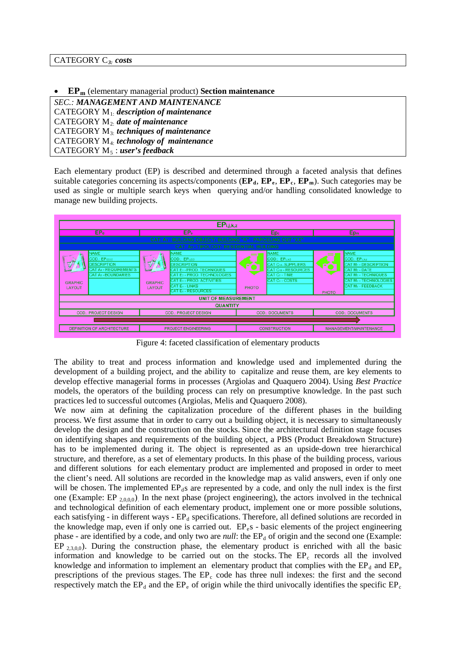• **EPm** (elementary managerial product) **Section maintenance** 

*SEC.: MANAGEMENT AND MAINTENANCE* CATEGORY M1: *description of maintenance* CATEGORY M2: *date of maintenance* CATEGORY M3: *techniques of maintenance* CATEGORY M4: *technology of maintenance* CATEGORY M5 : *user's feedback*

Each elementary product (EP) is described and determined through a faceted analysis that defines suitable categories concerning its aspects/components  $(\mathbf{EP}_d, \mathbf{EP}_e, \mathbf{EP}_e, \mathbf{EP}_m)$ . Such categories may be used as single or multiple search keys when querying and/or handling consolidated knowledge to manage new building projects.



Figure 4: faceted classification of elementary products

The ability to treat and process information and knowledge used and implemented during the development of a building project, and the ability to capitalize and reuse them, are key elements to develop effective managerial forms in processes (Argiolas and Quaquero 2004). Using *Best Practice* models, the operators of the building process can rely on presumptive knowledge. In the past such practices led to successful outcomes (Argiolas, Melis and Quaquero 2008).

We now aim at defining the capitalization procedure of the different phases in the building process. We first assume that in order to carry out a building object, it is necessary to simultaneously develop the design and the construction on the stocks. Since the architectural definition stage focuses on identifying shapes and requirements of the building object, a PBS (Product Breakdown Structure) has to be implemented during it. The object is represented as an upside-down tree hierarchical structure, and therefore, as a set of elementary products. In this phase of the building process, various and different solutions for each elementary product are implemented and proposed in order to meet the client's need. All solutions are recorded in the knowledge map as valid answers, even if only one will be chosen. The implemented  $EP<sub>d</sub>$ s are represented by a code, and only the null index is the first one (Example: EP  $_{2,0,0,0}$ ). In the next phase (project engineering), the actors involved in the technical and technological definition of each elementary product, implement one or more possible solutions, each satisfying - in different ways -  $EP<sub>d</sub>$  specifications. Therefore, all defined solutions are recorded in the knowledge map, even if only one is carried out.  $EP_{e}s$  - basic elements of the project engineering phase - are identified by a code, and only two are *null*: the EP<sub>d</sub> of origin and the second one (Example: EP  $_{2,3,0,0}$ ). During the construction phase, the elementary product is enriched with all the basic information and knowledge to be carried out on the stocks. The  $EP_c$  records all the involved knowledge and information to implement an elementary product that complies with the  $EP<sub>e</sub>$  and  $EP<sub>e</sub>$ prescriptions of the previous stages. The  $EP<sub>c</sub>$  code has three null indexes: the first and the second respectively match the  $EP_d$  and the  $EP_e$  of origin while the third univocally identifies the specific  $EP_e$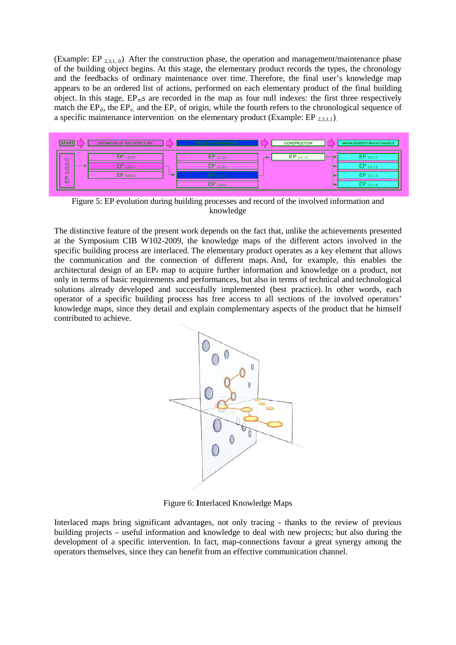(Example: EP  $_{2,3,1,0}$ ). After the construction phase, the operation and management/maintenance phase of the building object begins. At this stage, the elementary product records the types, the chronology and the feedbacks of ordinary maintenance over time. Therefore, the final user's knowledge map appears to be an ordered list of actions, performed on each elementary product of the final building object. In this stage,  $EP_m$ s are recorded in the map as four null indexes: the first three respectively match the  $EP_d$ , the  $EP_e$ , and the  $EP_c$  of origin, while the fourth refers to the chronological sequence of a specific maintenance intervention on the elementary product (Example:  $EP_{2,3,1,1}$ ).



Figure 5: EP evolution during building processes and record of the involved information and knowledge

The distinctive feature of the present work depends on the fact that, unlike the achievements presented at the Symposium CIB W102-2009, the knowledge maps of the different actors involved in the specific building process are interlaced. The elementary product operates as a key element that allows the communication and the connection of different maps. And, for example, this enables the architectural design of an EP<sub>d</sub> map to acquire further information and knowledge on a product, not only in terms of basic requirements and performances, but also in terms of technical and technological solutions already developed and successfully implemented (best practice). In other words, each operator of a specific building process has free access to all sections of the involved operators' knowledge maps, since they detail and explain complementary aspects of the product that he himself contributed to achieve.



Figure 6: **I**nterlaced Knowledge Maps

Interlaced maps bring significant advantages, not only tracing - thanks to the review of previous building projects – useful information and knowledge to deal with new projects; but also during the development of a specific intervention. In fact, map-connections favour a great synergy among the operators themselves, since they can benefit from an effective communication channel.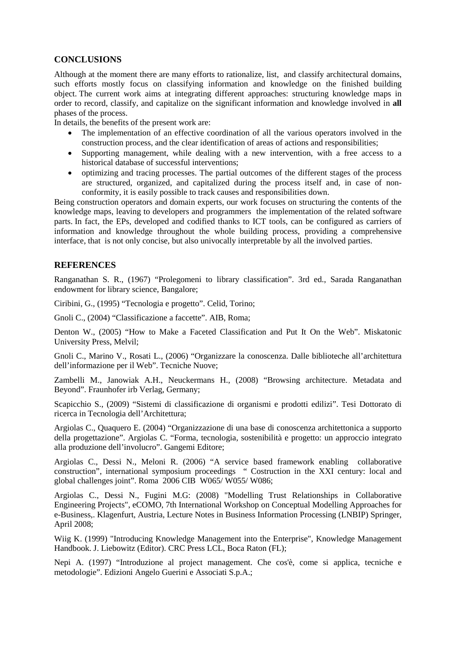## **CONCLUSIONS**

Although at the moment there are many efforts to rationalize, list, and classify architectural domains, such efforts mostly focus on classifying information and knowledge on the finished building object. The current work aims at integrating different approaches: structuring knowledge maps in order to record, classify, and capitalize on the significant information and knowledge involved in **all** phases of the process.

In details, the benefits of the present work are:

- The implementation of an effective coordination of all the various operators involved in the construction process, and the clear identification of areas of actions and responsibilities;
- Supporting management, while dealing with a new intervention, with a free access to a historical database of successful interventions;
- optimizing and tracing processes. The partial outcomes of the different stages of the process are structured, organized, and capitalized during the process itself and, in case of nonconformity, it is easily possible to track causes and responsibilities down.

Being construction operators and domain experts, our work focuses on structuring the contents of the knowledge maps, leaving to developers and programmers the implementation of the related software parts. In fact, the EPs, developed and codified thanks to ICT tools, can be configured as carriers of information and knowledge throughout the whole building process, providing a comprehensive interface, that is not only concise, but also univocally interpretable by all the involved parties.

## **REFERENCES**

Ranganathan S. R., (1967) "Prolegomeni to library classification". 3rd ed., Sarada Ranganathan endowment for library science, Bangalore;

Ciribini, G., (1995) "Tecnologia e progetto". Celid, Torino;

Gnoli C., (2004) "Classificazione a faccette". AIB, Roma;

Denton W., (2005) "How to Make a Faceted Classification and Put It On the Web". Miskatonic University Press, Melvil;

Gnoli C., Marino V., Rosati L., (2006) "Organizzare la conoscenza. Dalle biblioteche all'architettura dell'informazione per il Web". Tecniche Nuove;

Zambelli M., Janowiak A.H., Neuckermans H., (2008) "Browsing architecture. Metadata and Beyond". [Fraunhofer irb Verlag,](http://www.irb.fraunhofer.de/verlag.jsp?lang=en) Germany;

Scapicchio S., (2009) "Sistemi di classificazione di organismi e prodotti edilizi". Tesi Dottorato di ricerca in Tecnologia dell'Architettura;

Argiolas C., Quaquero E. (2004) "Organizzazione di una base di conoscenza architettonica a supporto della progettazione". Argiolas C. "Forma, tecnologia, sostenibilità e progetto: un approccio integrato alla produzione dell'involucro". Gangemi Editore;

Argiolas C., Dessi N., Meloni R. (2006) "A service based framework enabling collaborative construction", international symposium proceedings " Costruction in the XXI century: local and global challenges joint". Roma 2006 CIB W065/ W055/ W086;

Argiolas C., Dessi N., Fugini M.G: (2008) "Modelling Trust Relationships in Collaborative Engineering Projects", eCOMO, 7th International Workshop on Conceptual Modelling Approaches for e-Business,. Klagenfurt, Austria, Lecture Notes in Business Information Processing (LNBIP) Springer, April 2008;

Wiig K. (1999) "Introducing Knowledge Management into the Enterprise", Knowledge Management Handbook. J. Liebowitz (Editor). CRC Press LCL, Boca Raton (FL);

Nepi A. (1997) "Introduzione al project management. Che cos'è, come si applica, tecniche e metodologie". Edizioni Angelo Guerini e Associati S.p.A.;